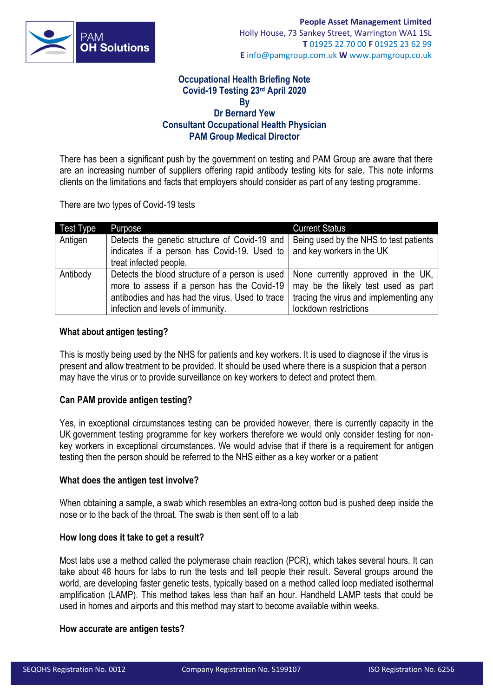

## **Occupational Health Briefing Note Covid-19 Testing 23rd April 2020 By Dr Bernard Yew Consultant Occupational Health Physician PAM Group Medical Director**

There has been a significant push by the government on testing and PAM Group are aware that there are an increasing number of suppliers offering rapid antibody testing kits for sale. This note informs clients on the limitations and facts that employers should consider as part of any testing programme.

There are two types of Covid-19 tests

| Test Type | Purpose                                                                                                                                                                                | <b>Current Status</b>                                                                                                                        |
|-----------|----------------------------------------------------------------------------------------------------------------------------------------------------------------------------------------|----------------------------------------------------------------------------------------------------------------------------------------------|
| Antigen   | Detects the genetic structure of Covid-19 and<br>indicates if a person has Covid-19. Used to<br>treat infected people.                                                                 | Being used by the NHS to test patients<br>and key workers in the UK                                                                          |
| Antibody  | Detects the blood structure of a person is used<br>more to assess if a person has the Covid-19<br>antibodies and has had the virus. Used to trace<br>infection and levels of immunity. | None currently approved in the UK,<br>may be the likely test used as part<br>tracing the virus and implementing any<br>lockdown restrictions |

## **What about** a**ntigen** t**esting?**

This is mostly being used by the NHS for patients and key workers. It is used to diagnose if the virus is present and allow treatment to be provided. It should be used where there is a suspicion that a person may have the virus or to provide surveillance on key workers to detect and protect them.

## **Can PAM provide antigen testing?**

Yes, in exceptional circumstances testing can be provided however, there is currently capacity in the UK government testing programme for key workers therefore we would only consider testing for nonkey workers in exceptional circumstances. We would advise that if there is a requirement for antigen testing then the person should be referred to the NHS either as a key worker or a patient

## **What does the antigen test involve?**

When obtaining a sample, a swab which resembles an extra-long cotton bud is pushed deep inside the nose or to the back of the throat. The swab is then sent off to a lab

#### **How long does it take to get a result?**

Most labs use a method called the polymerase chain reaction (PCR), which takes several hours. It can take about 48 hours for labs to run the tests and tell people their result. Several groups around the world, are developin[g faster genetic tests,](https://asia.nikkei.com/Spotlight/Coronavirus/Team-Japan-develops-10-minute-coronavirus-test) typically based on [a method called loop mediated isothermal](http://www.ox.ac.uk/news/2020-03-18-oxford-scientists-develop-rapid-testing-technology-covid-19)  [amplification](http://www.ox.ac.uk/news/2020-03-18-oxford-scientists-develop-rapid-testing-technology-covid-19) (LAMP). This method takes less than half an hour. Handheld LAMP tests that could be used in homes and airports and this method may start to become available within weeks.

## **How accurate are antigen tests?**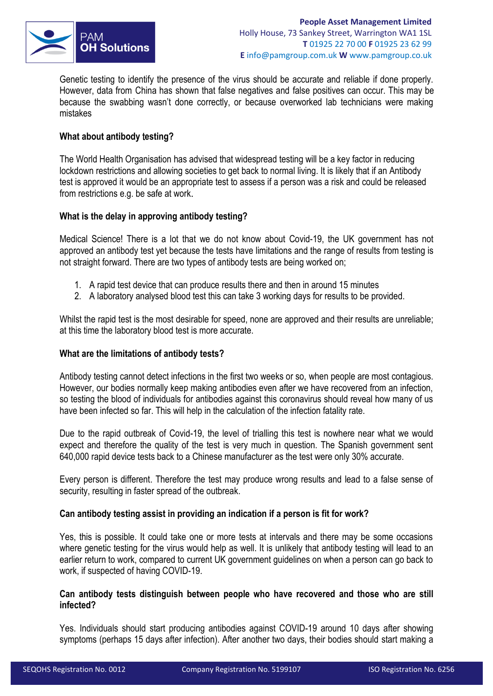

Genetic testing to identify the presence of the virus should be accurate and reliable if done properly. However, data from China has shown that false negatives and false [positives](https://pubmed.ncbi.nlm.nih.gov/32133832/) can occur. This may be because the swabbing wasn't done correctly, or because overworked lab technicians were making mistakes

# **What about** a**ntibody** t**esting?**

The World Health Organisation has advised that widespread testing will be a key factor in reducing lockdown restrictions and allowing societies to get back to normal living. It is likely that if an Antibody test is approved it would be an appropriate test to assess if a person was a risk and could be released from restrictions e.g. be safe at work.

# **What is the delay in approving antibody testing?**

Medical Science! There is a lot that we do not know about Covid-19, the UK government has not approved an antibody test yet because the tests have limitations and the range of results from testing is not straight forward. There are two types of antibody tests are being worked on;

- 1. A rapid test device that can produce results there and then in around 15 minutes
- 2. A laboratory analysed blood test this can take 3 working days for results to be provided.

Whilst the rapid test is the most desirable for speed, none are approved and their results are unreliable; at this time the laboratory blood test is more accurate.

## **What are the limitations of antibody tests?**

Antibody testing cannot detect infections in the first two weeks or so, [when people are most contagious.](https://www.newscientist.com/article/2238473-you-could-be-spreading-the-coronavirus-without-realising-youve-got-it/) However, our bodies normally keep making antibodies even after we have recovered from an infection, so testing the blood of individuals for antibodies against this coronavirus should reveal how many of us have been infected so far. This will help in the calculation of [the infection fatality rate.](https://www.newscientist.com/article/mg24532733-700-why-is-it-so-hard-to-calculate-how-many-people-will-die-from-covid-19/)

Due to the rapid outbreak of Covid-19, the level of trialling this test is nowhere near what we would expect and therefore the quality of the test is very much in question. The Spanish government sent 640,000 rapid device tests back to a Chinese manufacturer as the test were only 30% accurate.

Every person is different. Therefore the test may produce wrong results and lead to a false sense of security, resulting in faster spread of the outbreak.

## **Can antibody testing assist in providing an indication if a person is fit for work?**

Yes, this is possible. It could take one or more tests at intervals and there may be some occasions where genetic testing for the virus would help as well. It is unlikely that antibody testing will lead to an earlier return to work, compared to current UK government guidelines on when a person can go back to work, if suspected of having COVID-19.

## **Can antibody tests distinguish between people who have recovered and those who are still infected?**

Yes. Individuals should start producing antibodies against COVID-19 [around 10 days](https://covid-19.alibabacloud.com/) after showing symptoms (perhaps 15 days after infection). After another two days, their bodies should start making a